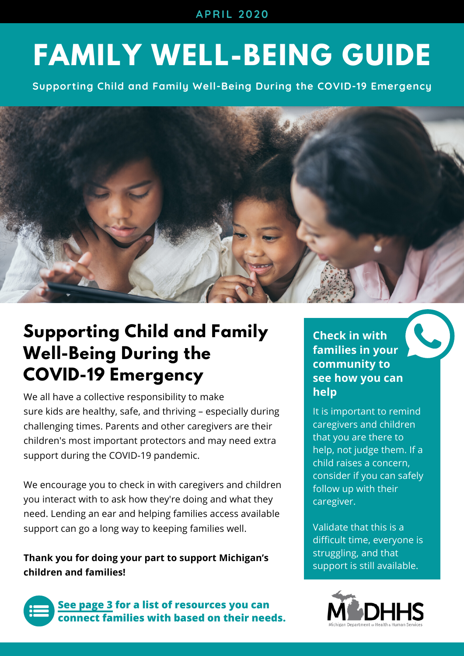**APRIL 2020**

# **FAMILY WELL-BEING GUIDE**

**Supporting Child and Family Well-Being During the COVID-19 Emergency**



## **Supporting Child and Family Well-Being During the COVID-19 Emergency**

We all have a collective responsibility to make sure kids are healthy, safe, and thriving – especially during challenging times. Parents and other caregivers are their children's most important protectors and may need extra support during the COVID-19 pandemic.

We encourage you to check in with caregivers and children you interact with to ask how they're doing and what they need. Lending an ear and helping families access available support can go a long way to keeping families well.

**Thank you for doing your part to support Michigan's children and families!**



**See [page](#page-2-0) 3 for a list of resources you can connect families with based on their needs.** **Check in with families in your community to see how you can help**

It is important to remind caregivers and children that you are there to help, not judge them. If a child raises a concern, consider if you can safely follow up with their caregiver.

Validate that this is a difficult time, everyone is struggling, and that support is still available.

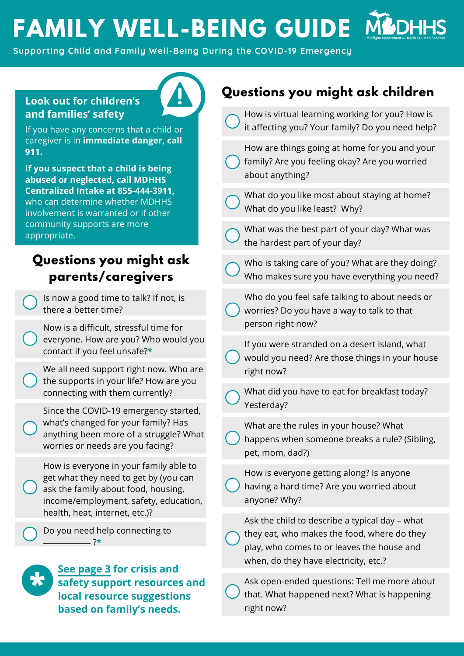# **FAMILY WELL-BEING GUIDE**

**Supporting Child and Family Well-Being During the COVID-19 Emergency**

#### **Look out for children's and families' safety**

If you have any concerns that a child or caregiver is in **immediate danger, call 911.** 

**If you suspect that a child is being abused or neglected, call MDHHS Centralized Intake at 855-444-3911,** who can determine whether MDHHS involvement is warranted or if other community supports are more appropriate.

### **Questions you might ask parents/caregivers**

Is now a good time to talk? If not, is there a better time?

Now is a difficult, stressful time for everyone. How are you? Who would you contact if you feel unsafe?**\*** 

We all need support right now. Who are the supports in your life? How are you connecting with them currently?

Since the COVID-19 emergency started, what's changed for your family? Has anything been more of a struggle? What worries or needs are you facing?

How is everyone in your family able to get what they need to get by (you can ask the family about food, housing, income/employment, safety, education, health, heat, internet, etc.)?

Do you need help connecting to ?**\***



**[See page 3](#page-2-0) for crisis and safety support resources and local resource suggestions based on family's needs.**

### **Questions you might ask children**

| How is virtual learning working for you? How is<br>it affecting you? Your family? Do you need help?                                                                                  |
|--------------------------------------------------------------------------------------------------------------------------------------------------------------------------------------|
| How are things going at home for you and your<br>family? Are you feeling okay? Are you worried<br>about anything?                                                                    |
| What do you like most about staying at home?<br>What do you like least? Why?                                                                                                         |
| What was the best part of your day? What was<br>the hardest part of your day?                                                                                                        |
| Who is taking care of you? What are they doing?<br>Who makes sure you have everything you need?                                                                                      |
| Who do you feel safe talking to about needs or<br>worries? Do you have a way to talk to that<br>person right now?                                                                    |
| If you were stranded on a desert island, what<br>would you need? Are those things in your house<br>right now?                                                                        |
| What did you have to eat for breakfast today?<br>Yesterday?                                                                                                                          |
| What are the rules in your house? What<br>happens when someone breaks a rule? (Sibling,<br>pet, mom, dad?)                                                                           |
| How is everyone getting along? Is anyone<br>having a hard time? Are you worried about<br>anyone? Why?                                                                                |
| Ask the child to describe a typical day - what<br>they eat, who makes the food, where do they<br>play, who comes to or leaves the house and<br>when, do they have electricity, etc.? |
| Ask open-ended questions: Tell me more about<br>that. What happened next? What is happening                                                                                          |

right now?